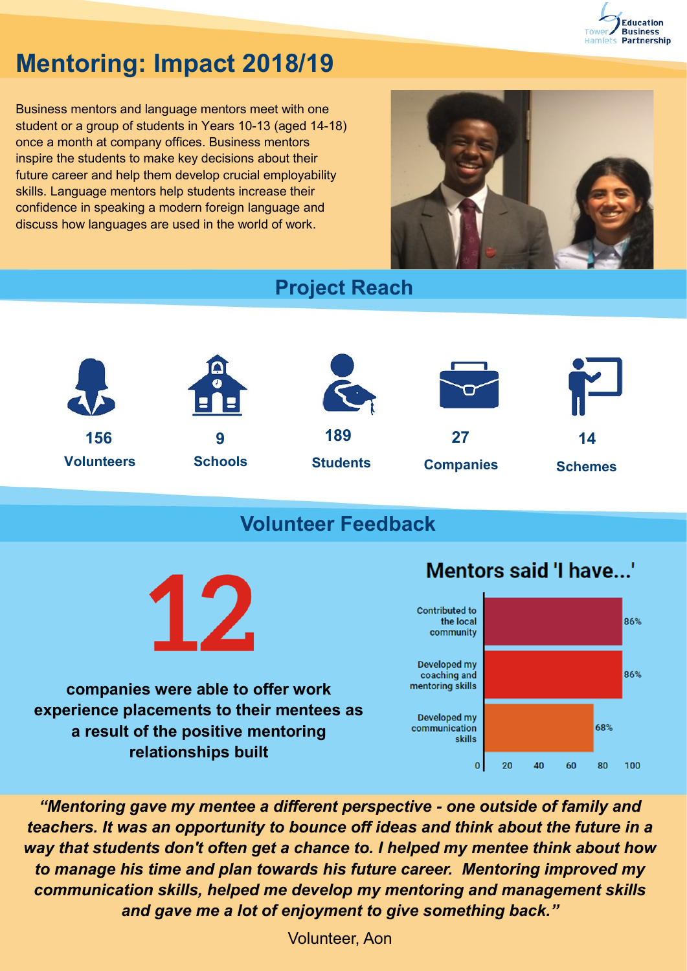

# **Mentoring: Impact 2018/19**

Business mentors and language mentors meet with one student or a group of students in Years 10-13 (aged 14-18) once a month at company offices. Business mentors inspire the students to make key decisions about their future career and help them develop crucial employability skills. Language mentors help students increase their confidence in speaking a modern foreign language and discuss how languages are used in the world of work.



**Project Reach**



## **Volunteer Feedback**



**companies were able to offer work experience placements to their mentees as a result of the positive mentoring relationships built** 

### Mentors said 'I have...'



*"Mentoring gave my mentee a different perspective - one outside of family and teachers. It was an opportunity to bounce off ideas and think about the future in a way that students don't often get a chance to. I helped my mentee think about how to manage his time and plan towards his future career. Mentoring improved my communication skills, helped me develop my mentoring and management skills and gave me a lot of enjoyment to give something back."*

Volunteer, Aon